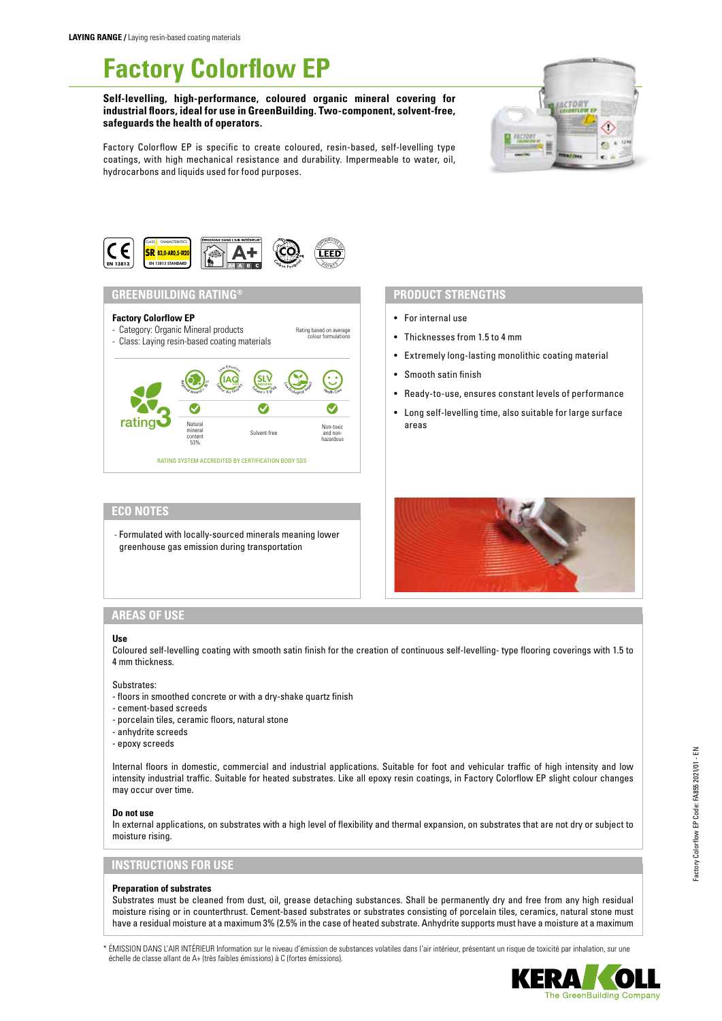# **Factory Colorflow EP**

**Self-levelling, high-performance, coloured organic mineral covering for industrial floors, ideal for use in GreenBuilding. Two-component, solvent-free, safeguards the health of operators.**



Factory Colorflow EP is specific to create coloured, resin-based, self-levelling type coatings, with high mechanical resistance and durability. Impermeable to water, oil, hydrocarbons and liquids used for food purposes.



## **GREENBUILDING RATING®**

## **Factory Colorflow EP**

- Category: Organic Mineral products - Class: Laying resin-based coating materials Rating based on average colour formulations



# **PRODUCT STRENGTHS**

- For internal use
- Thicknesses from 1.5 to 4 mm
- Extremely long-lasting monolithic coating material
- Smooth satin finish
- Ready-to-use, ensures constant levels of performance
- Long self-levelling time, also suitable for large surface areas

## **ECO NOTES**

- Formulated with locally-sourced minerals meaning lower greenhouse gas emission during transportation



## **AREAS OF USE**

#### **Use**

Coloured self-levelling coating with smooth satin finish for the creation of continuous self-levelling- type flooring coverings with 1.5 to 4 mm thickness.

#### Substrates:

- floors in smoothed concrete or with a dry-shake quartz finish
- cement-based screeds
- porcelain tiles, ceramic floors, natural stone
- anhydrite screeds
- epoxy screeds

Internal floors in domestic, commercial and industrial applications. Suitable for foot and vehicular traffic of high intensity and low intensity industrial traffic. Suitable for heated substrates. Like all epoxy resin coatings, in Factory Colorflow EP slight colour changes may occur over time.

#### **Do not use**

In external applications, on substrates with a high level of flexibility and thermal expansion, on substrates that are not dry or subject to moisture rising.

## **INSTRUCTIONS FOR USE**

#### **Preparation of substrates**

Substrates must be cleaned from dust, oil, grease detaching substances. Shall be permanently dry and free from any high residual moisture rising or in counterthrust. Cement-based substrates or substrates consisting of porcelain tiles, ceramics, natural stone must have a residual moisture at a maximum 3% (2.5% in the case of heated substrate. Anhydrite supports must have a moisture at a maximum

\* ÉMISSION DANS L'AIR INTÉRIEUR Information sur le niveau d'émission de substances volatiles dans l'air intérieur, présentant un risque de toxicité par inhalation, sur une échelle de classe allant de A+ (très faibles émissions) à C (fortes émissions).

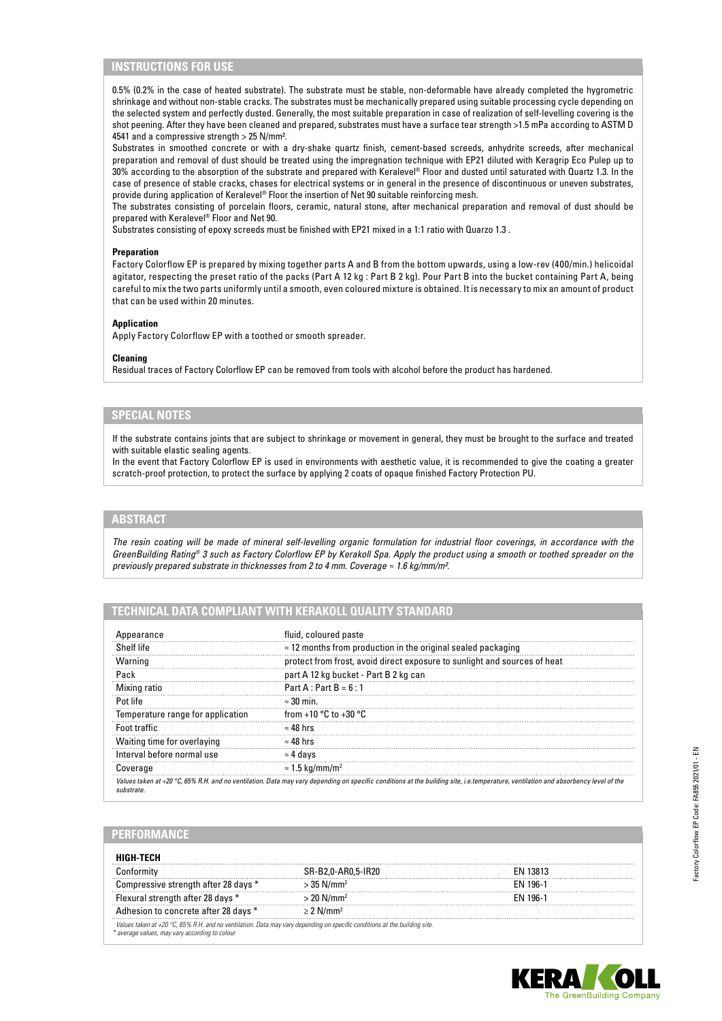## **INSTRUCTIONS FOR USE**

0.5% (0.2% in the case of heated substrate). The substrate must be stable, non-deformable have already completed the hygrometric shrinkage and without non-stable cracks. The substrates must be mechanically prepared using suitable processing cycle depending on the selected system and perfectly dusted. Generally, the most suitable preparation in case of realization of self-levelling covering is the shot peening. After they have been cleaned and prepared, substrates must have a surface tear strength >1.5 mPa according to ASTM D 4541 and a compressive strength > 25 N/mm².

Substrates in smoothed concrete or with a dry-shake quartz finish, cement-based screeds, anhydrite screeds, after mechanical preparation and removal of dust should be treated using the impregnation technique with EP21 diluted with Keragrip Eco Pulep up to 30% according to the absorption of the substrate and prepared with Keralevel® Floor and dusted until saturated with Quartz 1.3. In the case of presence of stable cracks, chases for electrical systems or in general in the presence of discontinuous or uneven substrates, provide during application of Keralevel® Floor the insertion of Net 90 suitable reinforcing mesh.

The substrates consisting of porcelain floors, ceramic, natural stone, after mechanical preparation and removal of dust should be prepared with Keralevel® Floor and Net 90.

Substrates consisting of epoxy screeds must be finished with EP21 mixed in a 1:1 ratio with Quarzo 1.3 .

#### **Preparation**

Factory Colorflow EP is prepared by mixing together parts A and B from the bottom upwards, using a low-rev (400/min.) helicoidal agitator, respecting the preset ratio of the packs (Part A 12 kg : Part B 2 kg). Pour Part B into the bucket containing Part A, being careful to mix the two parts uniformly until a smooth, even coloured mixture is obtained. It is necessary to mix an amount of product that can be used within 20 minutes.

#### **Application**

Apply Factory Colorflow EP with a toothed or smooth spreader.

#### **Cleaning**

Residual traces of Factory Colorflow EP can be removed from tools with alcohol before the product has hardened.

## **SPECIAL NOTES**

If the substrate contains joints that are subject to shrinkage or movement in general, they must be brought to the surface and treated with suitable elastic sealing agents.

In the event that Factory Colorflow EP is used in environments with aesthetic value, it is recommended to give the coating a greater scratch-proof protection, to protect the surface by applying 2 coats of opaque finished Factory Protection PU.

## **ABSTRACT**

*The resin coating will be made of mineral self-levelling organic formulation for industrial floor coverings, in accordance with the GreenBuilding Rating® 3 such as Factory Colorflow EP by Kerakoll Spa. Apply the product using a smooth or toothed spreader on the previously prepared substrate in thicknesses from 2 to 4 mm. Coverage ≈ 1.6 kg/mm/m².*

## **TECHNICAL DATA COMPLIANT WITH KERAKOLL QUALITY STANDARD**

| Appearance                        | fluid, coloured paste                                                                                                                                                                       |
|-----------------------------------|---------------------------------------------------------------------------------------------------------------------------------------------------------------------------------------------|
| Shelf life                        | $\approx$ 12 months from production in the original sealed packaging                                                                                                                        |
| Warning                           | protect from frost, avoid direct exposure to sunlight and sources of heat                                                                                                                   |
| Pack                              | part A 12 kg bucket - Part B 2 kg can                                                                                                                                                       |
| Mixing ratio                      | Part A : Part B = $6:1$                                                                                                                                                                     |
| Pot lite                          | $\approx 30$ min.                                                                                                                                                                           |
| Temperature range for application | from +10 $^{\circ}$ C to +30 $^{\circ}$ C                                                                                                                                                   |
| Foot traffic                      | $\approx 48$ hrs                                                                                                                                                                            |
| Waiting time for overlaying       | $\approx 48$ hrs                                                                                                                                                                            |
| Interval before normal use        | ≈4 davs                                                                                                                                                                                     |
| Coverage                          | $\approx 1.5$ kg/mm/m <sup>2</sup>                                                                                                                                                          |
| substrate                         | Values taken at +20 $\degree$ C, 65% R.H. and no ventilation. Data may vary depending on specific conditions at the building site, i.e.temperature, ventilation and absorbency level of the |

## **PERFORMANCE**

|                                                                                                                           | SR-B2.0-AR0.5-IR20       | FN 13813 |
|---------------------------------------------------------------------------------------------------------------------------|--------------------------|----------|
| Compressive strength after 28 days *                                                                                      | $>$ 35 N/mm <sup>2</sup> | FN 196-1 |
| Flexural strength after 28 days *                                                                                         | $>$ 20 N/mm <sup>2</sup> | FN 196-1 |
| Adhesion to concrete after 28 days *                                                                                      | $> 2$ N/mm <sup>2</sup>  |          |
| Values taken at +20 °C, 65% R.H. and no ventilation. Data may vary depending on specific conditions at the building site. |                          |          |
| * average values, may vary according to colour                                                                            |                          |          |